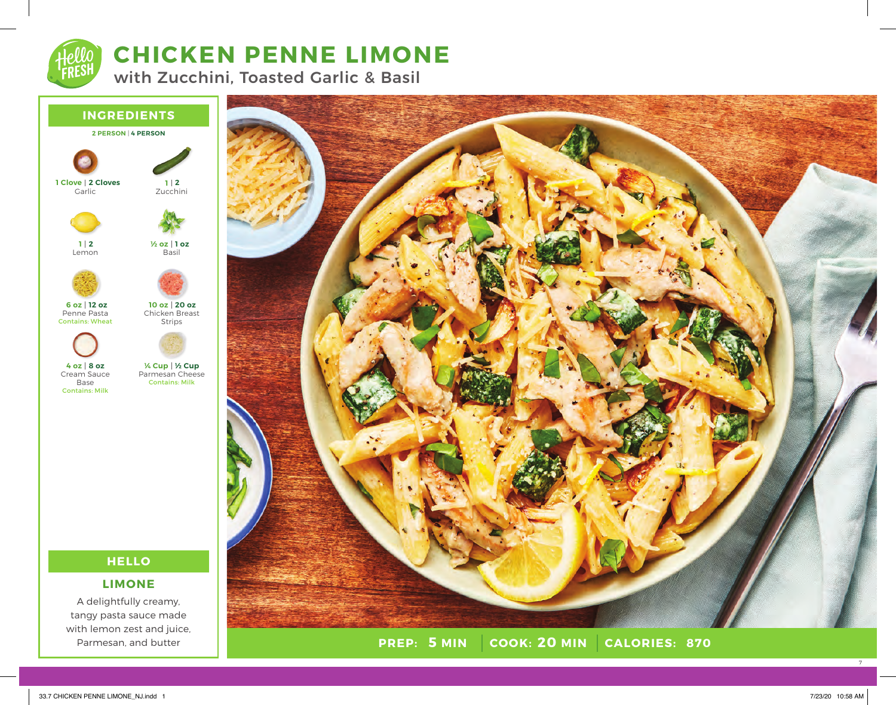

# **CHICKEN PENNE LIMONE**

with Zucchini, Toasted Garlic & Basil



tangy pasta sauce made with lemon zest and juice, Parmesan, and butter



**PREP:** 5 MIN COOK: 20 MIN **5 MIN 20 MIN 870**

7